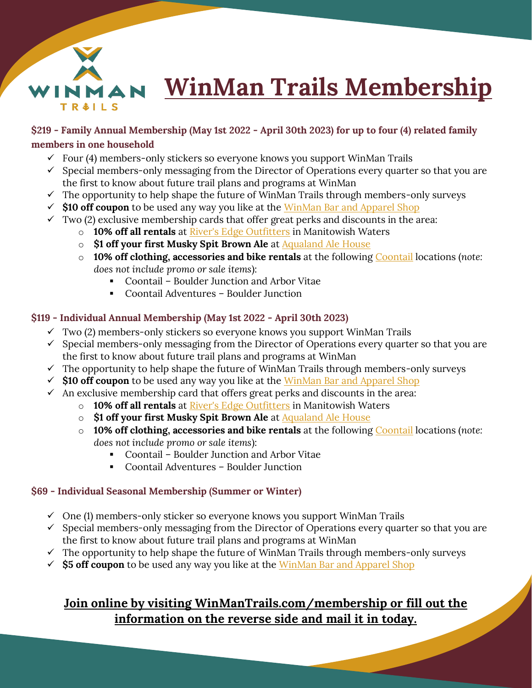

## **\$219 - Family Annual Membership (May 1st 2022 - April 30th 2023) for up to four (4) related family members in one household**

- $\checkmark$  Four (4) members-only stickers so everyone knows you support WinMan Trails
- $\checkmark$  Special members-only messaging from the Director of Operations every quarter so that you are the first to know about future trail plans and programs at WinMan
- $\checkmark$  The opportunity to help shape the future of WinMan Trails through members-only surveys
- $\checkmark$  \$10 off coupon to be used any way you like at the WinMan Bar and Apparel Shop
- $\checkmark$  Two (2) exclusive membership cards that offer great perks and discounts in the area:
	- o **10% off all rentals** at [River's Edge Outfitters](https://www.riversedgemw.com/) in Manitowish Waters
	- o **\$1 off your first Musky Spit Brown Ale** at [Aqualand Ale House](https://aqualandalehouse.com/)
	- o **10% off clothing, accessories and bike rentals** at the following Coontail locations (*note: does not include promo or sale items*):
		- Coontail Boulder Junction and Arbor Vitae
		- Coontail Adventures Boulder Junction

## **\$119 - Individual Annual Membership (May 1st 2022 - April 30th 2023)**

- $\checkmark$  Two (2) members-only stickers so everyone knows you support WinMan Trails
- $\checkmark$  Special members-only messaging from the Director of Operations every quarter so that you are the first to know about future trail plans and programs at WinMan
- $\checkmark$  The opportunity to help shape the future of WinMan Trails through members-only surveys
- ✓ **\$10 off coupon** to be used any way you like at the WinMan Bar and Apparel Shop
- $\checkmark$  An exclusive membership card that offers great perks and discounts in the area:
	- o **10% off all rentals** at [River's Edge Outfitters](https://www.riversedgemw.com/) in Manitowish Waters
	- o **\$1 off your first Musky Spit Brown Ale** at **Aqualand Ale House**
	- o **10% off clothing, accessories and bike rentals** at the following Coontail locations (*note: does not include promo or sale items*):
		- Coontail Boulder Junction and Arbor Vitae
		- Coontail Adventures Boulder Junction

## **\$69 - Individual Seasonal Membership (Summer or Winter)**

- $\checkmark$  One (1) members-only sticker so everyone knows you support WinMan Trails
- $\checkmark$  Special members-only messaging from the Director of Operations every quarter so that you are the first to know about future trail plans and programs at WinMan
- $\checkmark$  The opportunity to help shape the future of WinMan Trails through members-only surveys
- $\checkmark$  **\$5 off coupon** to be used any way you like at the WinMan Bar and Apparel Shop

## **Join online by visiting WinManTrails.com/membership or fill out the information on the reverse side and mail it in today.**